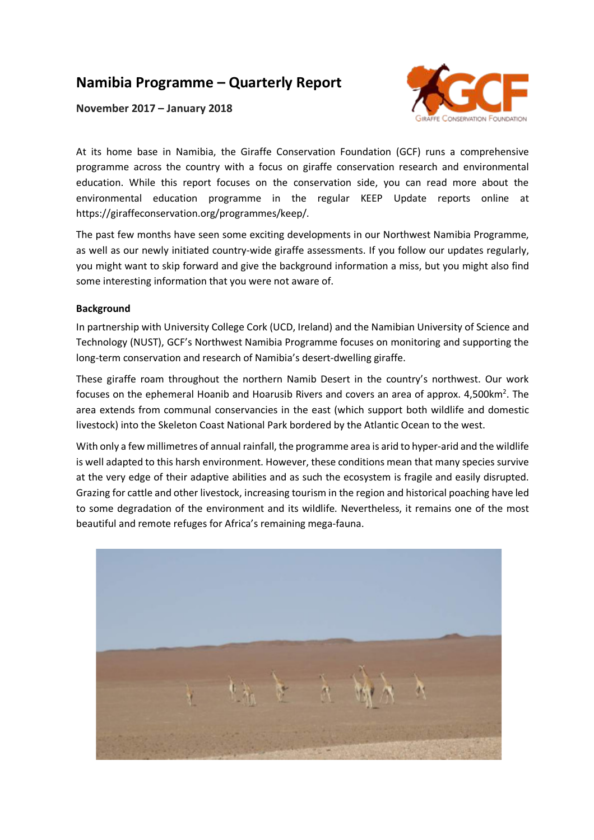# **Namibia Programme – Quarterly Report**

**November 2017 – January 2018**



At its home base in Namibia, the Giraffe Conservation Foundation (GCF) runs a comprehensive programme across the country with a focus on giraffe conservation research and environmental education. While this report focuses on the conservation side, you can read more about the environmental education programme in the regular KEEP Update reports online at https://giraffeconservation.org/programmes/keep/.

The past few months have seen some exciting developments in our Northwest Namibia Programme, as well as our newly initiated country-wide giraffe assessments. If you follow our updates regularly, you might want to skip forward and give the background information a miss, but you might also find some interesting information that you were not aware of.

## **Background**

In partnership with University College Cork (UCD, Ireland) and the Namibian University of Science and Technology (NUST), GCF's Northwest Namibia Programme focuses on monitoring and supporting the long-term conservation and research of Namibia's desert-dwelling giraffe.

These giraffe roam throughout the northern Namib Desert in the country's northwest. Our work focuses on the ephemeral Hoanib and Hoarusib Rivers and covers an area of approx. 4,500 km<sup>2</sup>. The area extends from communal conservancies in the east (which support both wildlife and domestic livestock) into the Skeleton Coast National Park bordered by the Atlantic Ocean to the west.

With only a few millimetres of annual rainfall, the programme area is arid to hyper-arid and the wildlife is well adapted to this harsh environment. However, these conditions mean that many species survive at the very edge of their adaptive abilities and as such the ecosystem is fragile and easily disrupted. Grazing for cattle and other livestock, increasing tourism in the region and historical poaching have led to some degradation of the environment and its wildlife. Nevertheless, it remains one of the most beautiful and remote refuges for Africa's remaining mega-fauna.

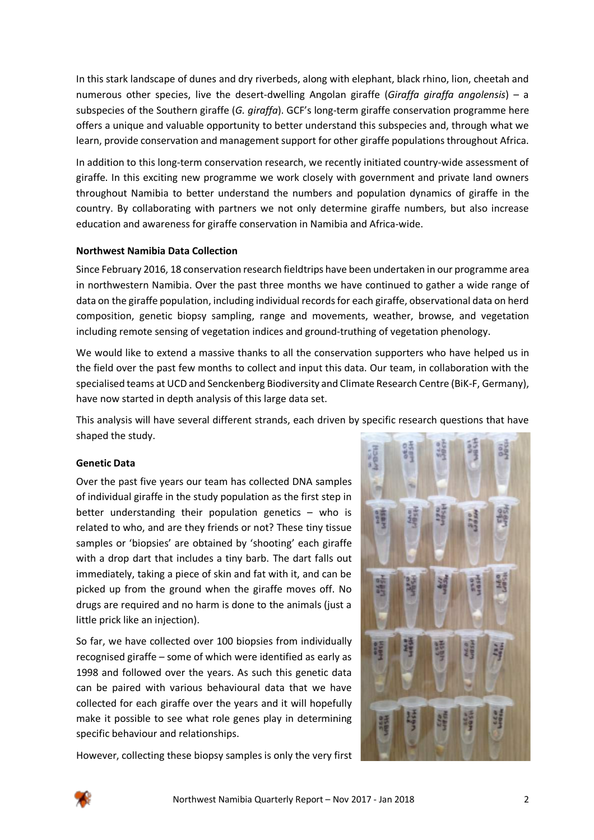In this stark landscape of dunes and dry riverbeds, along with elephant, black rhino, lion, cheetah and numerous other species, live the desert-dwelling Angolan giraffe (*Giraffa giraffa angolensis*) – a subspecies of the Southern giraffe (*G. giraffa*). GCF's long-term giraffe conservation programme here offers a unique and valuable opportunity to better understand this subspecies and, through what we learn, provide conservation and management support for other giraffe populations throughout Africa.

In addition to this long-term conservation research, we recently initiated country-wide assessment of giraffe. In this exciting new programme we work closely with government and private land owners throughout Namibia to better understand the numbers and population dynamics of giraffe in the country. By collaborating with partners we not only determine giraffe numbers, but also increase education and awareness for giraffe conservation in Namibia and Africa-wide.

## **Northwest Namibia Data Collection**

Since February 2016, 18 conservation research fieldtrips have been undertaken in our programme area in northwestern Namibia. Over the past three months we have continued to gather a wide range of data on the giraffe population, including individual records for each giraffe, observational data on herd composition, genetic biopsy sampling, range and movements, weather, browse, and vegetation including remote sensing of vegetation indices and ground-truthing of vegetation phenology.

We would like to extend a massive thanks to all the conservation supporters who have helped us in the field over the past few months to collect and input this data. Our team, in collaboration with the specialised teams at UCD and Senckenberg Biodiversity and Climate Research Centre (BiK-F, Germany), have now started in depth analysis of this large data set.

This analysis will have several different strands, each driven by specific research questions that have shaped the study.

## **Genetic Data**

Over the past five years our team has collected DNA samples of individual giraffe in the study population as the first step in better understanding their population genetics – who is related to who, and are they friends or not? These tiny tissue samples or 'biopsies' are obtained by 'shooting' each giraffe with a drop dart that includes a tiny barb. The dart falls out immediately, taking a piece of skin and fat with it, and can be picked up from the ground when the giraffe moves off. No drugs are required and no harm is done to the animals (just a little prick like an injection).

So far, we have collected over 100 biopsies from individually recognised giraffe – some of which were identified as early as 1998 and followed over the years. As such this genetic data can be paired with various behavioural data that we have collected for each giraffe over the years and it will hopefully make it possible to see what role genes play in determining specific behaviour and relationships.



However, collecting these biopsy samples is only the very first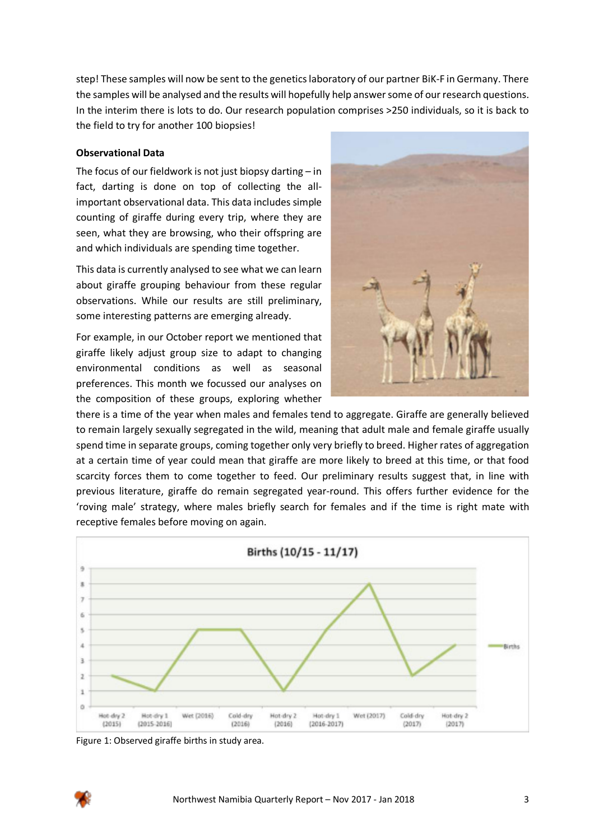step! These samples will now be sent to the genetics laboratory of our partner BiK-F in Germany. There the samples will be analysed and the results will hopefully help answer some of our research questions. In the interim there is lots to do. Our research population comprises >250 individuals, so it is back to the field to try for another 100 biopsies!

#### **Observational Data**

The focus of our fieldwork is not just biopsy darting – in fact, darting is done on top of collecting the allimportant observational data. This data includes simple counting of giraffe during every trip, where they are seen, what they are browsing, who their offspring are and which individuals are spending time together.

This data is currently analysed to see what we can learn about giraffe grouping behaviour from these regular observations. While our results are still preliminary, some interesting patterns are emerging already.

For example, in our October report we mentioned that giraffe likely adjust group size to adapt to changing environmental conditions as well as seasonal preferences. This month we focussed our analyses on the composition of these groups, exploring whether



there is a time of the year when males and females tend to aggregate. Giraffe are generally believed to remain largely sexually segregated in the wild, meaning that adult male and female giraffe usually spend time in separate groups, coming together only very briefly to breed. Higher rates of aggregation at a certain time of year could mean that giraffe are more likely to breed at this time, or that food scarcity forces them to come together to feed. Our preliminary results suggest that, in line with previous literature, giraffe do remain segregated year-round. This offers further evidence for the 'roving male' strategy, where males briefly search for females and if the time is right mate with receptive females before moving on again.



Figure 1: Observed giraffe births in study area.

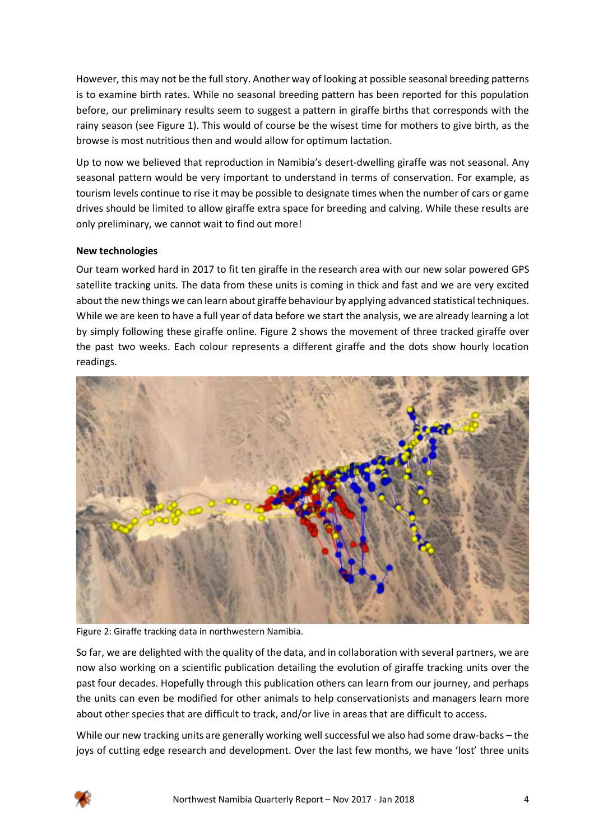However, this may not be the full story. Another way of looking at possible seasonal breeding patterns is to examine birth rates. While no seasonal breeding pattern has been reported for this population before, our preliminary results seem to suggest a pattern in giraffe births that corresponds with the rainy season (see Figure 1). This would of course be the wisest time for mothers to give birth, as the browse is most nutritious then and would allow for optimum lactation.

Up to now we believed that reproduction in Namibia's desert-dwelling giraffe was not seasonal. Any seasonal pattern would be very important to understand in terms of conservation. For example, as tourism levels continue to rise it may be possible to designate times when the number of cars or game drives should be limited to allow giraffe extra space for breeding and calving. While these results are only preliminary, we cannot wait to find out more!

## **New technologies**

Our team worked hard in 2017 to fit ten giraffe in the research area with our new solar powered GPS satellite tracking units. The data from these units is coming in thick and fast and we are very excited about the new things we can learn about giraffe behaviour by applying advanced statistical techniques. While we are keen to have a full year of data before we start the analysis, we are already learning a lot by simply following these giraffe online. Figure 2 shows the movement of three tracked giraffe over the past two weeks. Each colour represents a different giraffe and the dots show hourly location readings.



Figure 2: Giraffe tracking data in northwestern Namibia.

So far, we are delighted with the quality of the data, and in collaboration with several partners, we are now also working on a scientific publication detailing the evolution of giraffe tracking units over the past four decades. Hopefully through this publication others can learn from our journey, and perhaps the units can even be modified for other animals to help conservationists and managers learn more about other species that are difficult to track, and/or live in areas that are difficult to access.

While our new tracking units are generally working well successful we also had some draw-backs – the joys of cutting edge research and development. Over the last few months, we have 'lost' three units

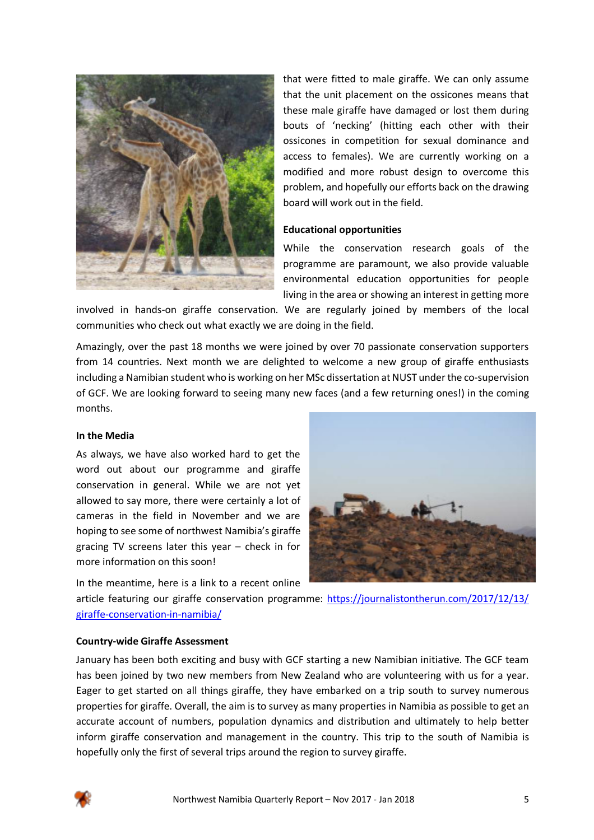

that were fitted to male giraffe. We can only assume that the unit placement on the ossicones means that these male giraffe have damaged or lost them during bouts of 'necking' (hitting each other with their ossicones in competition for sexual dominance and access to females). We are currently working on a modified and more robust design to overcome this problem, and hopefully our efforts back on the drawing board will work out in the field.

#### **Educational opportunities**

While the conservation research goals of the programme are paramount, we also provide valuable environmental education opportunities for people living in the area or showing an interest in getting more

involved in hands-on giraffe conservation. We are regularly joined by members of the local communities who check out what exactly we are doing in the field.

Amazingly, over the past 18 months we were joined by over 70 passionate conservation supporters from 14 countries. Next month we are delighted to welcome a new group of giraffe enthusiasts including a Namibian student who is working on her MSc dissertation at NUST under the co-supervision of GCF. We are looking forward to seeing many new faces (and a few returning ones!) in the coming months.

#### **In the Media**

As always, we have also worked hard to get the word out about our programme and giraffe conservation in general. While we are not yet allowed to say more, there were certainly a lot of cameras in the field in November and we are hoping to see some of northwest Namibia's giraffe gracing TV screens later this year – check in for more information on this soon!

In the meantime, here is a link to a recent online

article featuring our giraffe conservation programme: https://journalistontherun.com/2017/12/13/ giraffe-conservation-in-namibia/

#### **Country-wide Giraffe Assessment**

January has been both exciting and busy with GCF starting a new Namibian initiative. The GCF team has been joined by two new members from New Zealand who are volunteering with us for a year. Eager to get started on all things giraffe, they have embarked on a trip south to survey numerous properties for giraffe. Overall, the aim is to survey as many properties in Namibia as possible to get an accurate account of numbers, population dynamics and distribution and ultimately to help better inform giraffe conservation and management in the country. This trip to the south of Namibia is hopefully only the first of several trips around the region to survey giraffe.

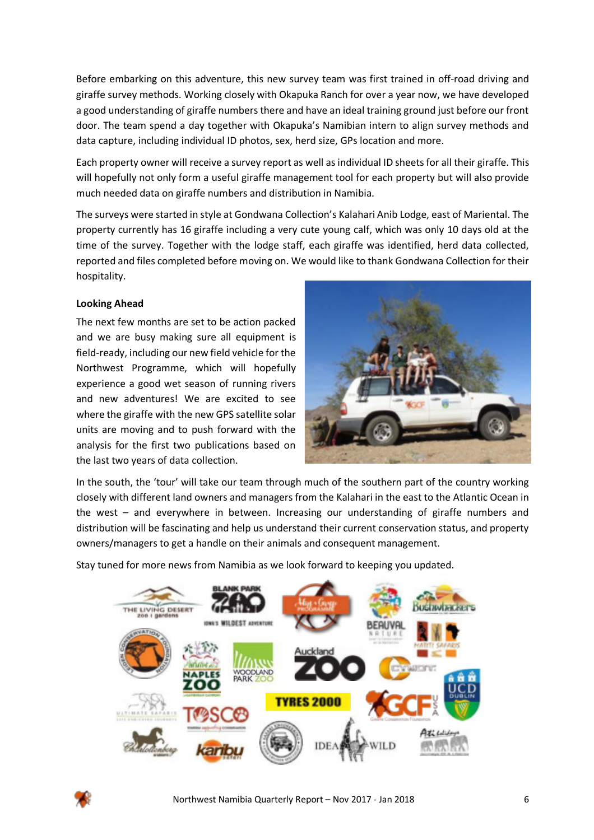Before embarking on this adventure, this new survey team was first trained in off-road driving and giraffe survey methods. Working closely with Okapuka Ranch for over a year now, we have developed a good understanding of giraffe numbers there and have an ideal training ground just before our front door. The team spend a day together with Okapuka's Namibian intern to align survey methods and data capture, including individual ID photos, sex, herd size, GPs location and more.

Each property owner will receive a survey report as well as individual ID sheets for all their giraffe. This will hopefully not only form a useful giraffe management tool for each property but will also provide much needed data on giraffe numbers and distribution in Namibia.

The surveys were started in style at Gondwana Collection's Kalahari Anib Lodge, east of Mariental. The property currently has 16 giraffe including a very cute young calf, which was only 10 days old at the time of the survey. Together with the lodge staff, each giraffe was identified, herd data collected, reported and files completed before moving on. We would like to thank Gondwana Collection for their hospitality.

## **Looking Ahead**

The next few months are set to be action packed and we are busy making sure all equipment is field-ready, including our new field vehicle for the Northwest Programme, which will hopefully experience a good wet season of running rivers and new adventures! We are excited to see where the giraffe with the new GPS satellite solar units are moving and to push forward with the analysis for the first two publications based on the last two years of data collection.



In the south, the 'tour' will take our team through much of the southern part of the country working closely with different land owners and managers from the Kalahari in the east to the Atlantic Ocean in the west – and everywhere in between. Increasing our understanding of giraffe numbers and distribution will be fascinating and help us understand their current conservation status, and property owners/managers to get a handle on their animals and consequent management.

Stay tuned for more news from Namibia as we look forward to keeping you updated.